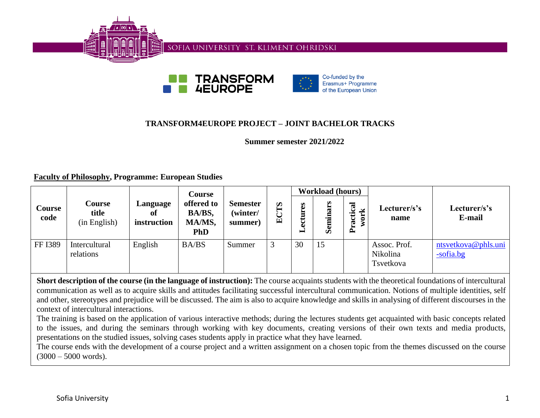





# **TRANSFORM4EUROPE PROJECT – JOINT BACHELOR TRACKS**

**Summer semester 2021/2022**

**Faculty of Philosophy, Programme: European Studies**

|                       |                                 | <b>Workload (hours)</b><br><b>Course</b> |                                              |                                        |                                 |             |          |                                                      |                                       |                                  |
|-----------------------|---------------------------------|------------------------------------------|----------------------------------------------|----------------------------------------|---------------------------------|-------------|----------|------------------------------------------------------|---------------------------------------|----------------------------------|
| <b>Course</b><br>code | Course<br>title<br>(in English) | Language<br>0ľ<br>instruction            | offered to<br>BA/BS,<br>MA/MS,<br><b>PhD</b> | <b>Semester</b><br>(winter/<br>summer) | $\boldsymbol{\omega}$<br>◡<br>囟 | E<br>Ξ<br>− | Seminars | ಸ<br>K<br>$\ddot{\mathbf{c}}$<br>$\bullet$<br>Ē<br>⊶ | Lecturer/s's<br>name                  | Lecturer/s's<br>E-mail           |
| FF I389               | Intercultural<br>relations      | English                                  | <b>BA/BS</b>                                 | Summer                                 |                                 | 30          | 15       |                                                      | Assoc. Prof.<br>Nikolina<br>Tsvetkova | ntsvetkova@phls.uni<br>-sofia.bg |

**Short description of the course (in the language of instruction):** The course acquaints students with the theoretical foundations of intercultural communication as well as to acquire skills and attitudes facilitating successful intercultural communication. Notions of multiple identities, self and other, stereotypes and prejudice will be discussed. The aim is also to acquire knowledge and skills in analysing of different discourses in the context of intercultural interactions.

The training is based on the application of various interactive methods; during the lectures students get acquainted with basic concepts related to the issues, and during the seminars through working with key documents, creating versions of their own texts and media products, presentations on the studied issues, solving cases students apply in practice what they have learned.

The course ends with the development of a course project and a written assignment on a chosen topic from the themes discussed on the course  $(3000 - 5000$  words).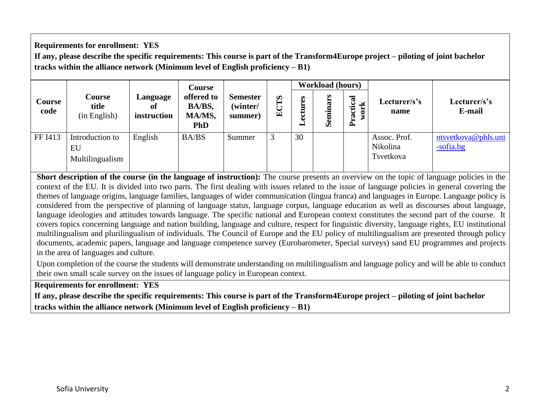## **Requirements for enrollment: YES**

**If any, please describe the specific requirements: This course is part of the Transform4Europe project – piloting of joint bachelor tracks within the alliance network (Minimum level of English proficiency – B1)**

|                | <b>Course</b><br>title<br>(in English)   | Language<br>0ľ<br>instruction | <b>Course</b><br>offered to<br>BA/BS,<br>MA/MS,<br><b>PhD</b> | <b>Semester</b><br>(winter/<br>summer) | $\boldsymbol{\omega}$<br>国 | <b>Workload (hours)</b> |                      |                   |                                       |                                     |
|----------------|------------------------------------------|-------------------------------|---------------------------------------------------------------|----------------------------------------|----------------------------|-------------------------|----------------------|-------------------|---------------------------------------|-------------------------------------|
| Course<br>code |                                          |                               |                                                               |                                        |                            | ctures<br>ω<br>▬        | ars<br><b>Semina</b> | Practical<br>work | Lecturer/s's<br>name                  | Lecturer/s's<br>E-mail              |
| FF I413        | Introduction to<br>EU<br>Multilingualism | English                       | BA/BS                                                         | Summer                                 | 3                          | 30                      |                      |                   | Assoc. Prof.<br>Nikolina<br>Tsvetkova | ntsvetkova@phls.uni<br>$-$ sofia.bg |

**Short description of the course (in the language of instruction):** The course presents an overview on the topic of language policies in the context of the EU. It is divided into two parts. The first dealing with issues related to the issue of language policies in general covering the themes of language origins, language families, languages of wider communication (lingua franca) and languages in Europe. Language policy is considered from the perspective of planning of language status, language corpus, language education as well as discourses about language, language ideologies and attitudes towards language. The specific national and European context constitutes the second part of the course. It covers topics concerning language and nation building, language and culture, respect for linguistic diversity, language rights, EU institutional multilingualism and plurilingualism of individuals. The Council of Europe and the EU policy of multilingualism are presented through policy documents, academic papers, language and language competence survey (Eurobarometer, Special surveys) sand EU programmes and projects in the area of languages and culture.

Upon completion of the course the students will demonstrate understanding on multilingualism and language policy and will be able to conduct their own small scale survey on the issues of language policy in European context.

**Requirements for enrollment: YES**

**If any, please describe the specific requirements: This course is part of the Transform4Europe project – piloting of joint bachelor tracks within the alliance network (Minimum level of English proficiency – B1)**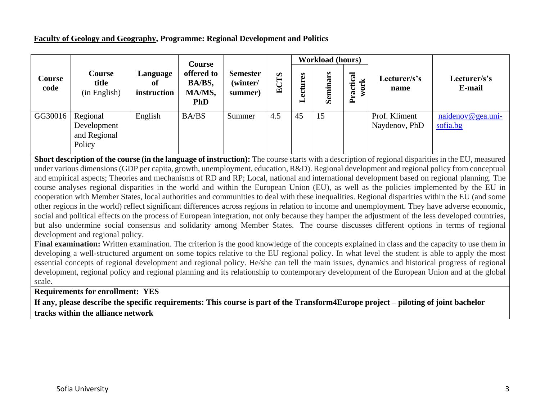### **Faculty of Geology and Geography, Programme: Regional Development and Politics**

|                       |                                                   |                               | <b>Course</b><br>offered to<br>BA/BS,<br>MA/MS,<br><b>PhD</b> |                                        | S<br>囯 | <b>Workload (hours)</b> |          |                |                                |                               |
|-----------------------|---------------------------------------------------|-------------------------------|---------------------------------------------------------------|----------------------------------------|--------|-------------------------|----------|----------------|--------------------------------|-------------------------------|
| <b>Course</b><br>code | <b>Course</b><br>title<br>(in English)            | Language<br>of<br>instruction |                                                               | <b>Semester</b><br>(winter/<br>summer) |        | E<br>ectur<br>⊣         | Seminars | Practical<br>¥ | Lecturer/s's<br>name           | Lecturer/s's<br>E-mail        |
| GG30016               | Regional<br>Development<br>and Regional<br>Policy | English                       | BA/BS                                                         | Summer                                 | 4.5    | 45                      | 15       |                | Prof. Kliment<br>Naydenov, PhD | naidenov@gea.uni-<br>sofia.bg |

**Short description of the course (in the language of instruction):** The course starts with a description of regional disparities in the EU, measured under various dimensions (GDP per capita, growth, unemployment, education, R&D). Regional development and regional policy from conceptual and empirical aspects; Theories and mechanisms of RD and RP; Local, national and international development based on regional planning. The course analyses regional disparities in the world and within the European Union (EU), as well as the policies implemented by the EU in cooperation with Member States, local authorities and communities to deal with these inequalities. Regional disparities within the EU (and some other regions in the world) reflect significant differences across regions in relation to income and unemployment. They have adverse economic, social and political effects on the process of European integration, not only because they hamper the adjustment of the less developed countries, but also undermine social consensus and solidarity among Member States. The course discusses different options in terms of regional development and regional policy.

Final examination: Written examination. The criterion is the good knowledge of the concepts explained in class and the capacity to use them in developing a well-structured argument on some topics relative to the EU regional policy. In what level the student is able to apply the most essential concepts of regional development and regional policy. He/she can tell the main issues, dynamics and historical progress of regional development, regional policy and regional planning and its relationship to contemporary development of the European Union and at the global scale.

**Requirements for enrollment: YES**

**If any, please describe the specific requirements: This course is part of the Transform4Europe project – piloting of joint bachelor tracks within the alliance network**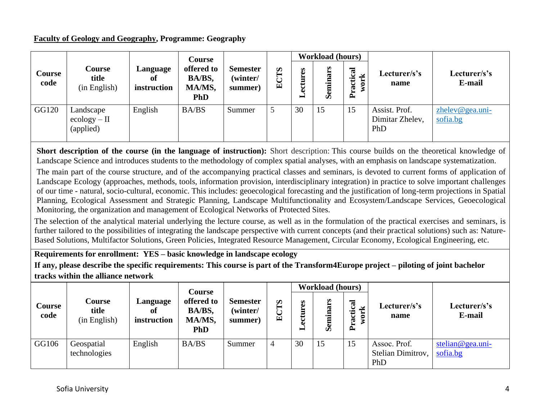### **Faculty of Geology and Geography, Programme: Geography**

|                |                                          |                               | <b>Course</b>                                |                                        |                                 | <b>Workload (hours)</b> |          |                      |                                         |                                |
|----------------|------------------------------------------|-------------------------------|----------------------------------------------|----------------------------------------|---------------------------------|-------------------------|----------|----------------------|-----------------------------------------|--------------------------------|
| Course<br>code | <b>Course</b><br>title<br>(in English)   | Language<br>Оf<br>instruction | offered to<br>BA/BS,<br>MA/MS,<br><b>PhD</b> | <b>Semester</b><br>(winter/<br>summer) | $\boldsymbol{\omega}$<br>◡<br>車 | ectures<br>▬            | Seminars | ctical<br>ork<br>Pra | Lecturer/s's<br>name                    | Lecturer/s's<br>E-mail         |
| GG120          | Landscape<br>$ecology - II$<br>(applied) | English                       | BA/BS                                        | Summer                                 |                                 | 30                      | 15       | 15                   | Assist. Prof.<br>Dimitar Zhelev,<br>PhD | $z$ helev@gea.uni-<br>sofia.bg |

**Short description of the course (in the language of instruction):** Short description: This course builds on the theoretical knowledge of Landscape Science and introduces students to the methodology of complex spatial analyses, with an emphasis on landscape systematization.

The main part of the course structure, and of the accompanying practical classes and seminars, is devoted to current forms of application of Landscape Ecology (approaches, methods, tools, information provision, interdisciplinary integration) in practice to solve important challenges of our time - natural, socio-cultural, economic. This includes: geoecological forecasting and the justification of long-term projections in Spatial Planning, Ecological Assessment and Strategic Planning, Landscape Multifunctionality and Ecosystem/Landscape Services, Geoecological Monitoring, the organization and management of Ecological Networks of Protected Sites.

The selection of the analytical material underlying the lecture course, as well as in the formulation of the practical exercises and seminars, is further tailored to the possibilities of integrating the landscape perspective with current concepts (and their practical solutions) such as: Nature-Based Solutions, Multifactor Solutions, Green Policies, Integrated Resource Management, Circular Economy, Ecological Engineering, etc.

**Requirements for enrollment: YES – basic knowledge in landscape ecology** 

**If any, please describe the specific requirements: This course is part of the Transform4Europe project – piloting of joint bachelor tracks within the alliance network**

|                       |                                 |                               | <b>Course</b>                                |                                        |                            |                  | <b>Workload (hours)</b> |                                                            |                                          |                              |
|-----------------------|---------------------------------|-------------------------------|----------------------------------------------|----------------------------------------|----------------------------|------------------|-------------------------|------------------------------------------------------------|------------------------------------------|------------------------------|
| <b>Course</b><br>code | Course<br>title<br>(in English) | Language<br>оf<br>instruction | offered to<br>BA/BS,<br>MA/MS,<br><b>PhD</b> | <b>Semester</b><br>(winter/<br>summer) | $\boldsymbol{\omega}$<br>덕 | ctures<br>٥<br>━ | inars<br>Sem            | $\overline{\mathbf{a}}$<br>ctic<br>ork<br>$\tilde{E}$<br>≏ | Lecturer/s's<br>name                     | Lecturer/s's<br>E-mail       |
| GG106                 | Geospatial<br>technologies      | English                       | BA/BS                                        | Summer                                 | $\overline{4}$             | 30               | 15                      | 15                                                         | Assoc. Prof.<br>Stelian Dimitrov,<br>PhD | stelian@gea.uni-<br>sofia.bg |